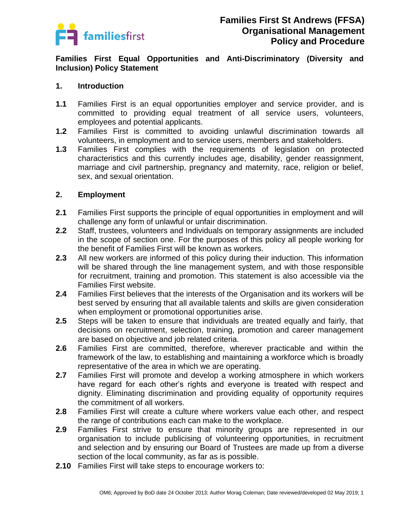

**Families First Equal Opportunities and Anti-Discriminatory (Diversity and Inclusion) Policy Statement** 

#### **1. Introduction**

- **1.1** Families First is an equal opportunities employer and service provider, and is committed to providing equal treatment of all service users, volunteers, employees and potential applicants.
- **1.2** Families First is committed to avoiding unlawful discrimination towards all volunteers, in employment and to service users, members and stakeholders.
- **1.3** Families First complies with the requirements of legislation on protected characteristics and this currently includes age, disability, gender reassignment, marriage and civil partnership, pregnancy and maternity, race, religion or belief, sex, and sexual orientation.

### **2. Employment**

- **2.1** Families First supports the principle of equal opportunities in employment and will challenge any form of unlawful or unfair discrimination.
- **2.2** Staff, trustees, volunteers and Individuals on temporary assignments are included in the scope of section one. For the purposes of this policy all people working for the benefit of Families First will be known as workers.
- **2.3** All new workers are informed of this policy during their induction. This information will be shared through the line management system, and with those responsible for recruitment, training and promotion. This statement is also accessible via the Families First website.
- **2.4** Families First believes that the interests of the Organisation and its workers will be best served by ensuring that all available talents and skills are given consideration when employment or promotional opportunities arise.
- **2.5** Steps will be taken to ensure that individuals are treated equally and fairly, that decisions on recruitment, selection, training, promotion and career management are based on objective and job related criteria.
- **2.6** Families First are committed, therefore, wherever practicable and within the framework of the law, to establishing and maintaining a workforce which is broadly representative of the area in which we are operating.
- **2.7** Families First will promote and develop a working atmosphere in which workers have regard for each other's rights and everyone is treated with respect and dignity. Eliminating discrimination and providing equality of opportunity requires the commitment of all workers.
- **2.8** Families First will create a culture where workers value each other, and respect the range of contributions each can make to the workplace.
- **2.9** Families First strive to ensure that minority groups are represented in our organisation to include publicising of volunteering opportunities, in recruitment and selection and by ensuring our Board of Trustees are made up from a diverse section of the local community, as far as is possible.
- **2.10** Families First will take steps to encourage workers to: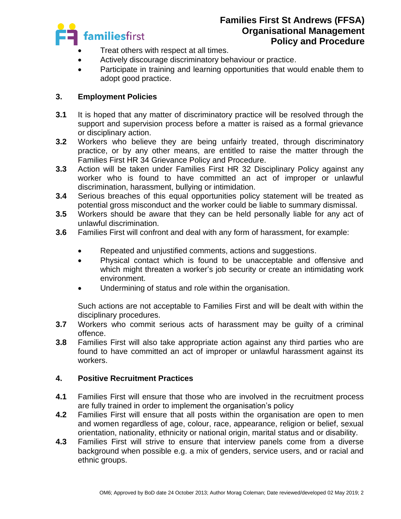

- Treat others with respect at all times.
- Actively discourage discriminatory behaviour or practice.
- Participate in training and learning opportunities that would enable them to adopt good practice.

# **3. Employment Policies**

- **3.1** It is hoped that any matter of discriminatory practice will be resolved through the support and supervision process before a matter is raised as a formal grievance or disciplinary action.
- **3.2** Workers who believe they are being unfairly treated, through discriminatory practice, or by any other means, are entitled to raise the matter through the Families First HR 34 Grievance Policy and Procedure.
- **3.3** Action will be taken under Families First HR 32 Disciplinary Policy against any worker who is found to have committed an act of improper or unlawful discrimination, harassment, bullying or intimidation.
- **3.4** Serious breaches of this equal opportunities policy statement will be treated as potential gross misconduct and the worker could be liable to summary dismissal.
- **3.5** Workers should be aware that they can be held personally liable for any act of unlawful discrimination.
- **3.6** Families First will confront and deal with any form of harassment, for example:
	- Repeated and unjustified comments, actions and suggestions.
	- Physical contact which is found to be unacceptable and offensive and which might threaten a worker's job security or create an intimidating work environment.
	- Undermining of status and role within the organisation.

Such actions are not acceptable to Families First and will be dealt with within the disciplinary procedures.

- **3.7** Workers who commit serious acts of harassment may be guilty of a criminal offence.
- **3.8** Families First will also take appropriate action against any third parties who are found to have committed an act of improper or unlawful harassment against its workers.

### **4. Positive Recruitment Practices**

- **4.1** Families First will ensure that those who are involved in the recruitment process are fully trained in order to implement the organisation's policy
- **4.2** Families First will ensure that all posts within the organisation are open to men and women regardless of age, colour, race, appearance, religion or belief, sexual orientation, nationality, ethnicity or national origin, marital status and or disability.
- **4.3** Families First will strive to ensure that interview panels come from a diverse background when possible e.g. a mix of genders, service users, and or racial and ethnic groups.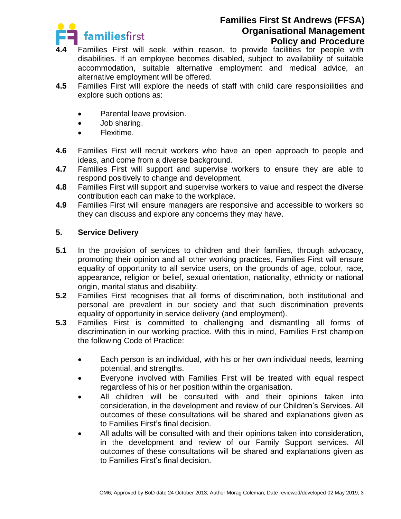

- **4.4** Families First will seek, within reason, to provide facilities for people with disabilities. If an employee becomes disabled, subject to availability of suitable accommodation, suitable alternative employment and medical advice, an alternative employment will be offered.
- **4.5** Families First will explore the needs of staff with child care responsibilities and explore such options as:
	- Parental leave provision.
	- Job sharing.
	- Flexitime.
- **4.6** Families First will recruit workers who have an open approach to people and ideas, and come from a diverse background.
- **4.7** Families First will support and supervise workers to ensure they are able to respond positively to change and development.
- **4.8** Families First will support and supervise workers to value and respect the diverse contribution each can make to the workplace.
- **4.9** Families First will ensure managers are responsive and accessible to workers so they can discuss and explore any concerns they may have.

## **5. Service Delivery**

- **5.1** In the provision of services to children and their families, through advocacy, promoting their opinion and all other working practices, Families First will ensure equality of opportunity to all service users, on the grounds of age, colour, race, appearance, religion or belief, sexual orientation, nationality, ethnicity or national origin, marital status and disability.
- **5.2** Families First recognises that all forms of discrimination, both institutional and personal are prevalent in our society and that such discrimination prevents equality of opportunity in service delivery (and employment).
- **5.3** Families First is committed to challenging and dismantling all forms of discrimination in our working practice. With this in mind, Families First champion the following Code of Practice:
	- Each person is an individual, with his or her own individual needs, learning potential, and strengths.
	- Everyone involved with Families First will be treated with equal respect regardless of his or her position within the organisation.
	- All children will be consulted with and their opinions taken into consideration, in the development and review of our Children's Services. All outcomes of these consultations will be shared and explanations given as to Families First's final decision.
	- All adults will be consulted with and their opinions taken into consideration, in the development and review of our Family Support services. All outcomes of these consultations will be shared and explanations given as to Families First's final decision.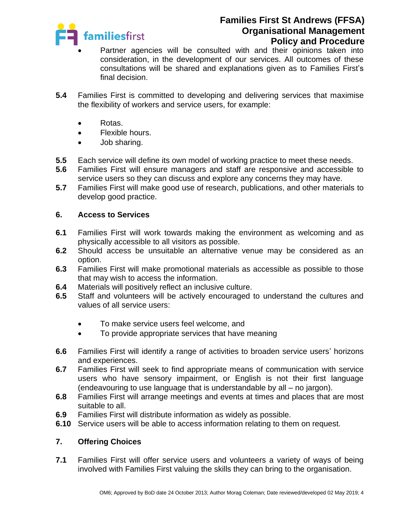

- Partner agencies will be consulted with and their opinions taken into consideration, in the development of our services. All outcomes of these consultations will be shared and explanations given as to Families First's final decision.
- **5.4** Families First is committed to developing and delivering services that maximise the flexibility of workers and service users, for example:
	- Rotas.
	- Flexible hours.
	- Job sharing.
- **5.5** Each service will define its own model of working practice to meet these needs.
- **5.6** Families First will ensure managers and staff are responsive and accessible to service users so they can discuss and explore any concerns they may have.
- **5.7** Families First will make good use of research, publications, and other materials to develop good practice.

### **6. Access to Services**

- **6.1** Families First will work towards making the environment as welcoming and as physically accessible to all visitors as possible.
- **6.2** Should access be unsuitable an alternative venue may be considered as an option.
- **6.3** Families First will make promotional materials as accessible as possible to those that may wish to access the information.
- **6.4** Materials will positively reflect an inclusive culture.
- **6.5** Staff and volunteers will be actively encouraged to understand the cultures and values of all service users:
	- To make service users feel welcome, and
	- To provide appropriate services that have meaning
- **6.6** Families First will identify a range of activities to broaden service users' horizons and experiences.
- **6.7** Families First will seek to find appropriate means of communication with service users who have sensory impairment, or English is not their first language (endeavouring to use language that is understandable by all – no jargon).
- **6.8** Families First will arrange meetings and events at times and places that are most suitable to all.
- **6.9** Families First will distribute information as widely as possible.
- **6.10** Service users will be able to access information relating to them on request.

### **7. Offering Choices**

**7.1** Families First will offer service users and volunteers a variety of ways of being involved with Families First valuing the skills they can bring to the organisation.